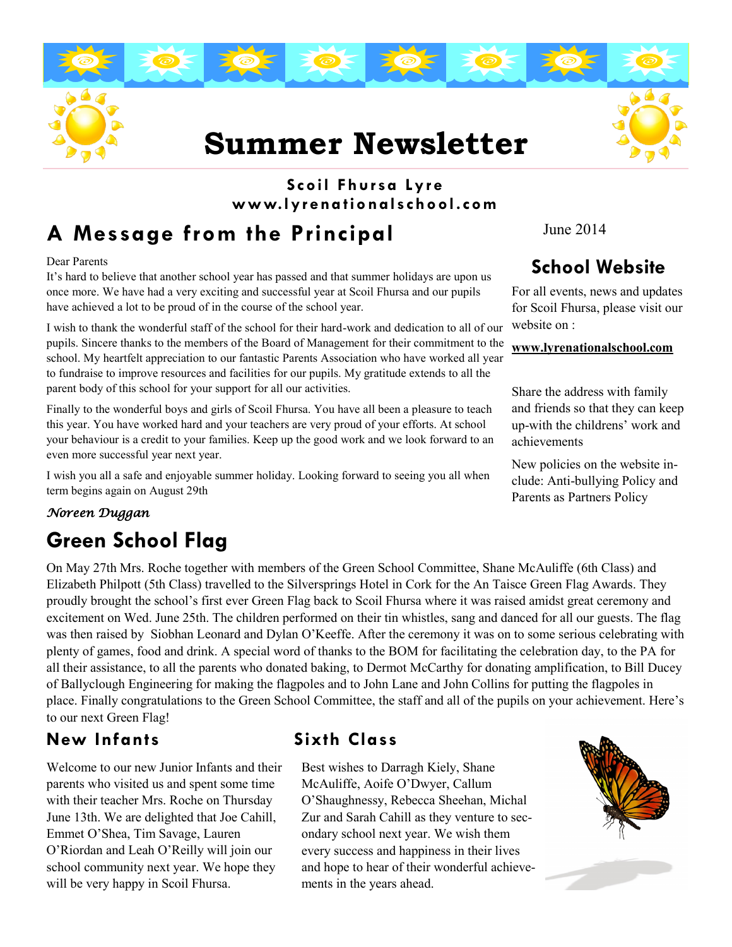# **Summer Newsletter**

### **Scoil Fhursa Ly r e www.lyr ena tio nalschool.com**

# **A Message from the Principal**

Dear Parents

It's hard to believe that another school year has passed and that summer holidays are upon us once more. We have had a very exciting and successful year at Scoil Fhursa and our pupils have achieved a lot to be proud of in the course of the school year.

I wish to thank the wonderful staff of the school for their hard-work and dedication to all of our pupils. Sincere thanks to the members of the Board of Management for their commitment to the school. My heartfelt appreciation to our fantastic Parents Association who have worked all year to fundraise to improve resources and facilities for our pupils. My gratitude extends to all the parent body of this school for your support for all our activities.

Finally to the wonderful boys and girls of Scoil Fhursa. You have all been a pleasure to teach this year. You have worked hard and your teachers are very proud of your efforts. At school your behaviour is a credit to your families. Keep up the good work and we look forward to an even more successful year next year.

I wish you all a safe and enjoyable summer holiday. Looking forward to seeing you all when term begins again on August 29th

#### *Noreen Duggan*

# **Green School Flag**

On May 27th Mrs. Roche together with members of the Green School Committee, Shane McAuliffe (6th Class) and Elizabeth Philpott (5th Class) travelled to the Silversprings Hotel in Cork for the An Taisce Green Flag Awards. They proudly brought the school's first ever Green Flag back to Scoil Fhursa where it was raised amidst great ceremony and excitement on Wed. June 25th. The children performed on their tin whistles, sang and danced for all our guests. The flag was then raised by Siobhan Leonard and Dylan O'Keeffe. After the ceremony it was on to some serious celebrating with plenty of games, food and drink. A special word of thanks to the BOM for facilitating the celebration day, to the PA for all their assistance, to all the parents who donated baking, to Dermot McCarthy for donating amplification, to Bill Ducey of Ballyclough Engineering for making the flagpoles and to John Lane and John Collins for putting the flagpoles in place. Finally congratulations to the Green School Committee, the staff and all of the pupils on your achievement. Here's to our next Green Flag!

### **New Infants Sixth Class**

Welcome to our new Junior Infants and their parents who visited us and spent some time with their teacher Mrs. Roche on Thursday June 13th. We are delighted that Joe Cahill, Emmet O'Shea, Tim Savage, Lauren O'Riordan and Leah O'Reilly will join our school community next year. We hope they will be very happy in Scoil Fhursa.

Best wishes to Darragh Kiely, Shane McAuliffe, Aoife O'Dwyer, Callum O'Shaughnessy, Rebecca Sheehan, Michal Zur and Sarah Cahill as they venture to secondary school next year. We wish them every success and happiness in their lives and hope to hear of their wonderful achievements in the years ahead.



## **School Website**

For all events, news and updates for Scoil Fhursa, please visit our website on :

#### **www.lyrenationalschool.com**

Share the address with family and friends so that they can keep up-with the childrens' work and achievements

New policies on the website include: Anti-bullying Policy and Parents as Partners Policy